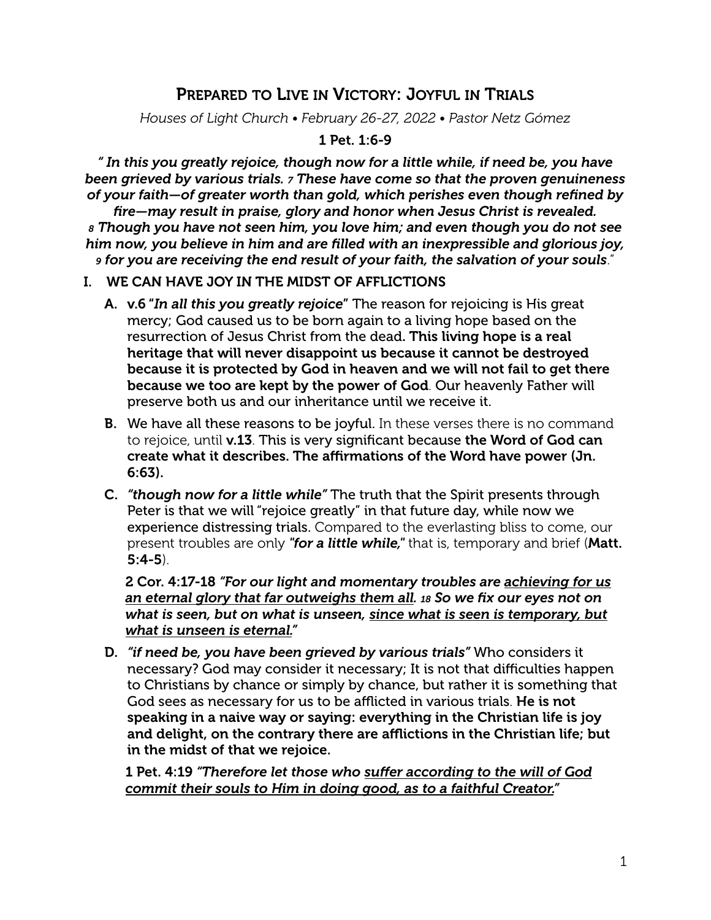# PREPARED TO LIVE IN VICTORY: JOYFUL IN TRIALS

*Houses of Light Church • February 26-27, 2022 • Pastor Netz Gómez*

#### 1 Pet. 1:6-9

*" In this you greatly rejoice, though now for a little while, if need be, you have been grieved by various trials. 7 These have come so that the proven genuineness of your faith—of greater worth than gold, which perishes even though refined by* 

*fire—may result in praise, glory and honor when Jesus Christ is revealed. 8 Though you have not seen him, you love him; and even though you do not see him now, you believe in him and are filled with an inexpressible and glorious joy, 9 for you are receiving the end result of your faith, the salvation of your souls*."

#### I. WE CAN HAVE JOY IN THE MIDST OF AFFLICTIONS

- A. v.6 "*In all this you greatly rejoice*" The reason for rejoicing is His great mercy; God caused us to be born again to a living hope based on the resurrection of Jesus Christ from the dead. This living hope is a real heritage that will never disappoint us because it cannot be destroyed because it is protected by God in heaven and we will not fail to get there because we too are kept by the power of God. Our heavenly Father will preserve both us and our inheritance until we receive it.
- **B.** We have all these reasons to be joyful. In these verses there is no command to rejoice, until v.13. This is very significant because the Word of God can create what it describes. The affirmations of the Word have power (Jn. 6:63).
- C. *"though now for a little while"* The truth that the Spirit presents through Peter is that we will "rejoice greatly" in that future day, while now we experience distressing trials. Compared to the everlasting bliss to come, our present troubles are only *"for a little while,"* that is, temporary and brief (Matt. 5:4-5).

2 Cor. 4:17-18 *"For our light and momentary troubles are achieving for us an eternal glory that far outweighs them all. 18 So we fix our eyes not on what is seen, but on what is unseen, since what is seen is temporary, but what is unseen is eternal."*

D. *"if need be, you have been grieved by various trials"* Who considers it necessary? God may consider it necessary; It is not that difficulties happen to Christians by chance or simply by chance, but rather it is something that God sees as necessary for us to be afflicted in various trials. He is not speaking in a naive way or saying: everything in the Christian life is joy and delight, on the contrary there are afflictions in the Christian life; but in the midst of that we rejoice.

1 Pet. 4:19 *"Therefore let those who suffer according to the will of God commit their souls to Him in doing good, as to a faithful Creator."*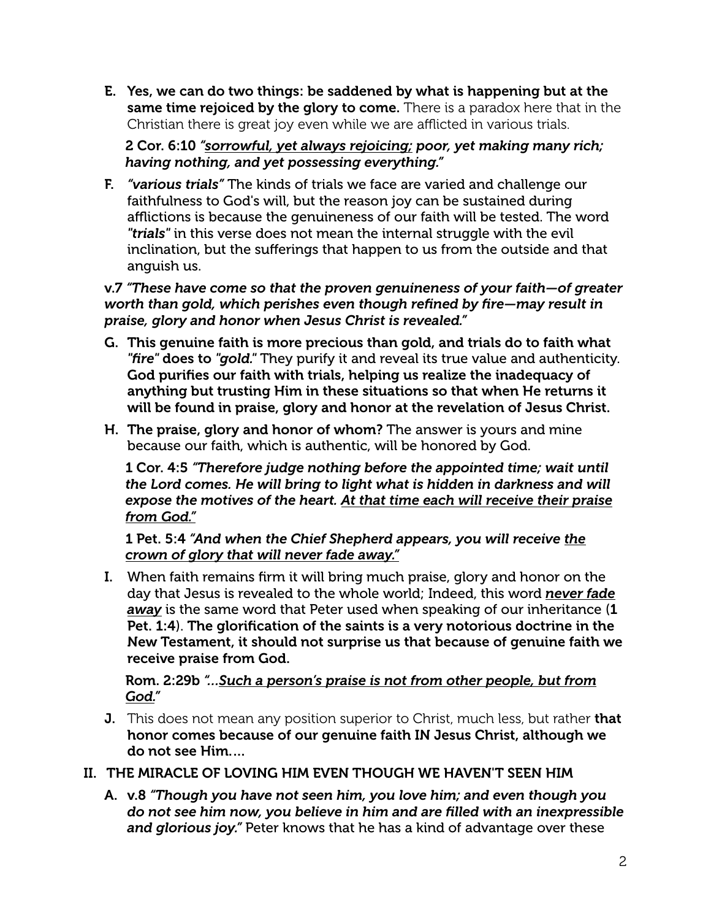E. Yes, we can do two things: be saddened by what is happening but at the same time rejoiced by the glory to come. There is a paradox here that in the Christian there is great joy even while we are afflicted in various trials.

2 Cor. 6:10 *"sorrowful, yet always rejoicing; poor, yet making many rich; having nothing, and yet possessing everything."*

F. *"various trials"* The kinds of trials we face are varied and challenge our faithfulness to God's will, but the reason joy can be sustained during afflictions is because the genuineness of our faith will be tested. The word *"trials"* in this verse does not mean the internal struggle with the evil inclination, but the sufferings that happen to us from the outside and that anguish us.

#### v.7 *"These have come so that the proven genuineness of your faith—of greater worth than gold, which perishes even though refined by fire—may result in praise, glory and honor when Jesus Christ is revealed."*

- G. This genuine faith is more precious than gold, and trials do to faith what *"fire"* does to *"gold."* They purify it and reveal its true value and authenticity. God purifies our faith with trials, helping us realize the inadequacy of anything but trusting Him in these situations so that when He returns it will be found in praise, glory and honor at the revelation of Jesus Christ.
- H. The praise, glory and honor of whom? The answer is yours and mine because our faith, which is authentic, will be honored by God.

1 Cor. 4:5 *"Therefore judge nothing before the appointed time; wait until the Lord comes. He will bring to light what is hidden in darkness and will expose the motives of the heart. At that time each will receive their praise from God."*

1 Pet. 5:4 *"And when the Chief Shepherd appears, you will receive the crown of glory that will never fade away."*

I. When faith remains firm it will bring much praise, glory and honor on the day that Jesus is revealed to the whole world; Indeed, this word *never fade away* is the same word that Peter used when speaking of our inheritance (1 Pet. 1:4). The glorification of the saints is a very notorious doctrine in the New Testament, it should not surprise us that because of genuine faith we receive praise from God.

#### Rom. 2:29b *"…Such a person's praise is not from other people, but from God."*

- **J.** This does not mean any position superior to Christ, much less, but rather that honor comes because of our genuine faith IN Jesus Christ, although we do not see Him.…
- II. THE MIRACLE OF LOVING HIM EVEN THOUGH WE HAVEN'T SEEN HIM
	- A. v.8 *"Though you have not seen him, you love him; and even though you do not see him now, you believe in him and are filled with an inexpressible and glorious joy."* Peter knows that he has a kind of advantage over these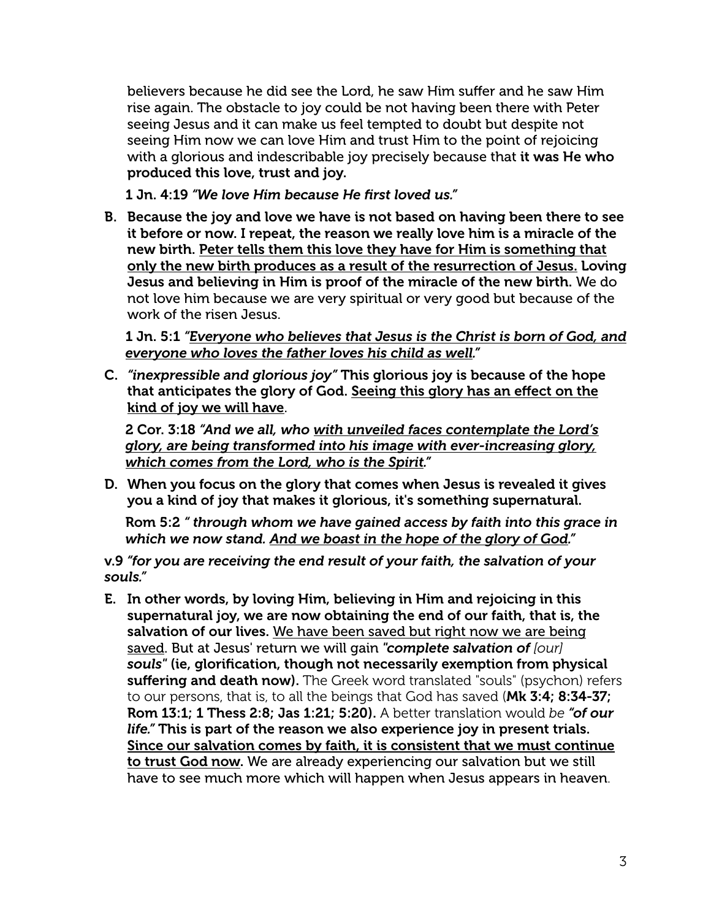believers because he did see the Lord, he saw Him suffer and he saw Him rise again. The obstacle to joy could be not having been there with Peter seeing Jesus and it can make us feel tempted to doubt but despite not seeing Him now we can love Him and trust Him to the point of rejoicing with a glorious and indescribable joy precisely because that it was He who produced this love, trust and joy.

1 Jn. 4:19 *"We love Him because He first loved us."*

B. Because the joy and love we have is not based on having been there to see it before or now. I repeat, the reason we really love him is a miracle of the new birth. Peter tells them this love they have for Him is something that only the new birth produces as a result of the resurrection of Jesus. Loving Jesus and believing in Him is proof of the miracle of the new birth. We do not love him because we are very spiritual or very good but because of the work of the risen Jesus.

1 Jn. 5:1 *"Everyone who believes that Jesus is the Christ is born of God, and everyone who loves the father loves his child as well."*

C. *"inexpressible and glorious joy"* This glorious joy is because of the hope that anticipates the glory of God. Seeing this glory has an effect on the kind of joy we will have.

2 Cor. 3:18 *"And we all, who with unveiled faces contemplate the Lord's glory, are being transformed into his image with ever-increasing glory, which comes from the Lord, who is the Spirit."*

D. When you focus on the glory that comes when Jesus is revealed it gives you a kind of joy that makes it glorious, it's something supernatural.

Rom 5:2 *" through whom we have gained access by faith into this grace in which we now stand. And we boast in the hope of the glory of God."*

v.9 *"for you are receiving the end result of your faith, the salvation of your souls."*

E. In other words, by loving Him, believing in Him and rejoicing in this supernatural joy, we are now obtaining the end of our faith, that is, the salvation of our lives. We have been saved but right now we are being saved. But at Jesus' return we will gain *"complete salvation of [our] souls"* (ie, glorification, though not necessarily exemption from physical suffering and death now). The Greek word translated "souls" (psychon) refers to our persons, that is, to all the beings that God has saved (Mk 3:4; 8:34-37; Rom 13:1; 1 Thess 2:8; Jas 1:21; 5:20). A better translation would *be "of our life."* This is part of the reason we also experience joy in present trials. Since our salvation comes by faith, it is consistent that we must continue to trust God now. We are already experiencing our salvation but we still have to see much more which will happen when Jesus appears in heaven.